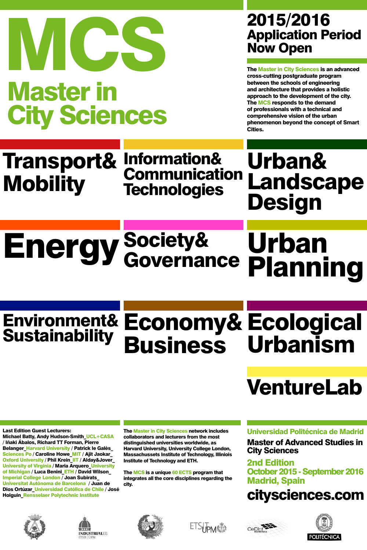# Energy Society& Urban Urban<br>Planning Governance

# Environment& Economy& Ecological Urbanism Sustainability Business

# VentureLab

# **2015/2016**<br>
Application Period Now Open<br>
The Master in City Sciences is an advanced<br>
Express cutting postgraduate program<br>
Destructing postgraduate program<br>
Destructing postgraduate program<br>
Destructing postgraduate prog Master in City Sciences

# 2015/2016<br>Application Period

The Master in City Sciences is an advanced cross-cutting postgraduate program between the schools of engineering and architecture that provides a holistic approach to the development of the city. The MCS responds to the demand of professionals with a technical and comprehensive vision of the urban phenomenon beyond the concept of Smart Cities.

## Transport& Mobility Information& Communication **Technologies**

Urban& Landscape Design

Last Edition Guest Lecturers: Michael Batty, Andy Hudson-Smith UCL+CASA / Iñaki Ábalos, Richard TT Forman, Pierre Belanger\_Harvard University / Patrick le Galès Sciences Po / Caroline Howe\_MIT / Ajit Jaokar\_ Oxford University / Phil Krein\_IIT / Alday&Jover\_ University of Virginia / Maria Arquero\_University of Michigan / Luca Benini\_ETH / David Wilson\_ Imperial College London / Joan Subirats\_ Universitat Autònoma de Barcelona / Juan de Dios Ortúzar\_Universidad Católica de Chile / José Holguin\_Rensselaer Polytechnic Institute

The Master in City Sciences network includes collaborators and lecturers from the most distinguished universities worldwide, as Harvard University, University College London, Massachussets Institute of Technology, Illiniois Institute of Technology and ETH.

The MCS is a unique 60 ECTS program that integrates all the core disciplines regarding the city.

## Universidad Politécnica de Madrid

Master of Advanced Studies in City Sciences

2nd Edition October 2015 - September 2016 Madrid, Spain

# <citysciences.com>